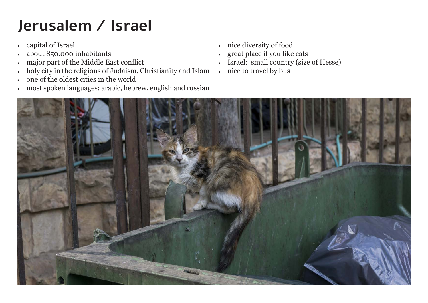## **Jerusalem / Israel**

- • capital of Israel
- about 850.000 inhabitants
- major part of the Middle East conflict
- • holy city in the religions of Judaism, Christianity and Islam
- • one of the oldest cities in the world
- • most spoken languages: arabic, hebrew, english and russian
- • nice diversity of food
- great place if you like cats
- Israel: small country (size of Hesse)
- nice to travel by bus

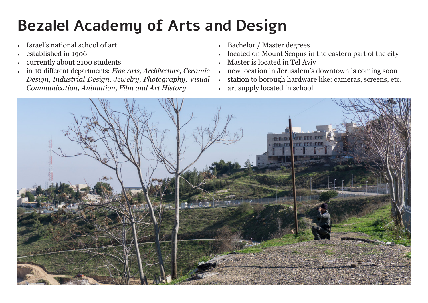## **Bezalel Academy of Arts and Design**

- Israel's national school of art
- established in 1906
- currently about 2100 students
- in 10 different departments: *Fine Arts, Architecture, Ceramic Design, Industrial Design, Jewelry, Photography, Visual Communication, Animation, Film and Art History*
- Bachelor / Master degrees
- located on Mount Scopus in the eastern part of the city
- Master is located in Tel Aviv
- new location in Jerusalem's downtown is coming soon
- • station to borough hardware like: cameras, screens, etc.
- art supply located in school

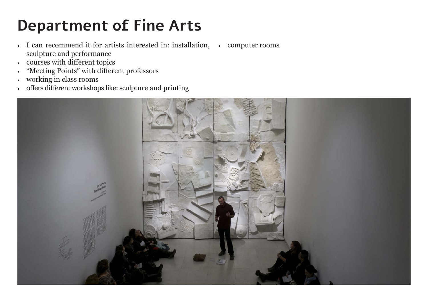## **Department of Fine Arts**

- I can recommend it for artists interested in: installation, computer rooms sculpture and performance
- • courses with different topics
- • "Meeting Points" with different professors
- • working in class rooms
- • offers different workshops like: sculpture and printing

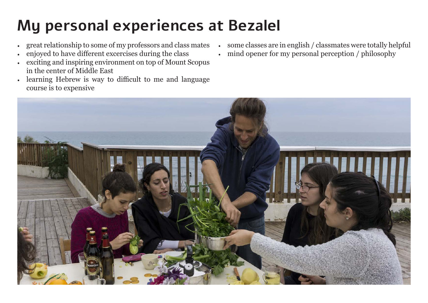## **My personal experiences at Bezalel**

- great relationship to some of my professors and class mates
- enjoyed to have different excercises during the class
- exciting and inspiring environment on top of Mount Scopus in the center of Middle East
- learning Hebrew is way to difficult to me and language course is to expensive
- some classes are in english / classmates were totally helpful
- mind opener for my personal perception / philosophy

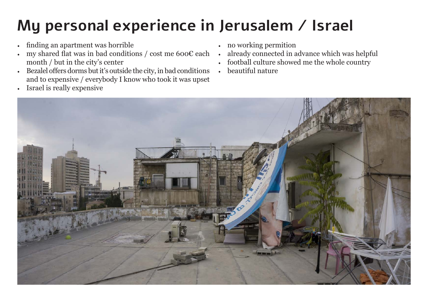## **My personal experience in Jerusalem / Israel**

- finding an apartment was horrible
- my shared flat was in bad conditions / cost me  $600<sup>ε</sup>$  each month / but in the city's center
- • Bezalel offers dorms but it's outside the city, in bad conditions and to expensive / everybody I know who took it was upset
- • Israel is really expensive
- • no working permition
- already connected in advance which was helpful
- football culture showed me the whole country
- beautiful nature